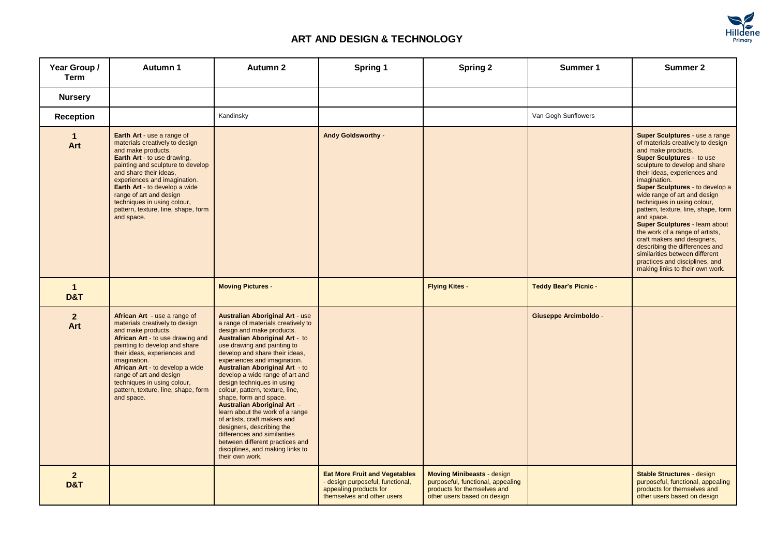

| Year Group /<br><b>Term</b>      | Autumn 1                                                                                                                                                                                                                                                                                                                                                                       | Autumn 2                                                                                                                                                                                                                                                                                                                                                                                                                                                                                                                                                                                                                                                                                   | Spring 1                                                                                                                         | <b>Spring 2</b>                                                                                                                      | Summer 1                     | <b>Summer 2</b>                                                                                                                                                                                                                                                                                                                                                                                                                                                                                                                                                                                                     |
|----------------------------------|--------------------------------------------------------------------------------------------------------------------------------------------------------------------------------------------------------------------------------------------------------------------------------------------------------------------------------------------------------------------------------|--------------------------------------------------------------------------------------------------------------------------------------------------------------------------------------------------------------------------------------------------------------------------------------------------------------------------------------------------------------------------------------------------------------------------------------------------------------------------------------------------------------------------------------------------------------------------------------------------------------------------------------------------------------------------------------------|----------------------------------------------------------------------------------------------------------------------------------|--------------------------------------------------------------------------------------------------------------------------------------|------------------------------|---------------------------------------------------------------------------------------------------------------------------------------------------------------------------------------------------------------------------------------------------------------------------------------------------------------------------------------------------------------------------------------------------------------------------------------------------------------------------------------------------------------------------------------------------------------------------------------------------------------------|
| <b>Nursery</b>                   |                                                                                                                                                                                                                                                                                                                                                                                |                                                                                                                                                                                                                                                                                                                                                                                                                                                                                                                                                                                                                                                                                            |                                                                                                                                  |                                                                                                                                      |                              |                                                                                                                                                                                                                                                                                                                                                                                                                                                                                                                                                                                                                     |
| <b>Reception</b>                 |                                                                                                                                                                                                                                                                                                                                                                                | Kandinsky                                                                                                                                                                                                                                                                                                                                                                                                                                                                                                                                                                                                                                                                                  |                                                                                                                                  |                                                                                                                                      | Van Gogh Sunflowers          |                                                                                                                                                                                                                                                                                                                                                                                                                                                                                                                                                                                                                     |
| $\mathbf{1}$<br>Art              | <b>Earth Art - use a range of</b><br>materials creatively to design<br>and make products.<br><b>Earth Art - to use drawing,</b><br>painting and sculpture to develop<br>and share their ideas,<br>experiences and imagination.<br>Earth Art - to develop a wide<br>range of art and design<br>techniques in using colour,<br>pattern, texture, line, shape, form<br>and space. |                                                                                                                                                                                                                                                                                                                                                                                                                                                                                                                                                                                                                                                                                            | <b>Andy Goldsworthy -</b>                                                                                                        |                                                                                                                                      |                              | Super Sculptures - use a range<br>of materials creatively to design<br>and make products.<br><b>Super Sculptures - to use</b><br>sculpture to develop and share<br>their ideas, experiences and<br>imagination.<br>Super Sculptures - to develop a<br>wide range of art and design<br>techniques in using colour,<br>pattern, texture, line, shape, form<br>and space.<br>Super Sculptures - learn about<br>the work of a range of artists,<br>craft makers and designers,<br>describing the differences and<br>similarities between different<br>practices and disciplines, and<br>making links to their own work. |
| $\mathbf{1}$<br><b>D&amp;T</b>   |                                                                                                                                                                                                                                                                                                                                                                                | <b>Moving Pictures -</b>                                                                                                                                                                                                                                                                                                                                                                                                                                                                                                                                                                                                                                                                   |                                                                                                                                  | <b>Flying Kites -</b>                                                                                                                | <b>Teddy Bear's Picnic -</b> |                                                                                                                                                                                                                                                                                                                                                                                                                                                                                                                                                                                                                     |
| 2 <sup>2</sup><br>Art            | African Art - use a range of<br>materials creatively to design<br>and make products.<br>African Art - to use drawing and<br>painting to develop and share<br>their ideas, experiences and<br>imagination.<br>African Art - to develop a wide<br>range of art and design<br>techniques in using colour,<br>pattern, texture, line, shape, form<br>and space.                    | <b>Australian Aboriginal Art - use</b><br>a range of materials creatively to<br>design and make products.<br><b>Australian Aboriginal Art - to</b><br>use drawing and painting to<br>develop and share their ideas,<br>experiences and imagination.<br><b>Australian Aboriginal Art - to</b><br>develop a wide range of art and<br>design techniques in using<br>colour, pattern, texture, line,<br>shape, form and space.<br><b>Australian Aboriginal Art -</b><br>learn about the work of a range<br>of artists, craft makers and<br>designers, describing the<br>differences and similarities<br>between different practices and<br>disciplines, and making links to<br>their own work. |                                                                                                                                  |                                                                                                                                      | <b>Giuseppe Arcimboldo -</b> |                                                                                                                                                                                                                                                                                                                                                                                                                                                                                                                                                                                                                     |
| $\overline{2}$<br><b>D&amp;T</b> |                                                                                                                                                                                                                                                                                                                                                                                |                                                                                                                                                                                                                                                                                                                                                                                                                                                                                                                                                                                                                                                                                            | <b>Eat More Fruit and Vegetables</b><br>- design purposeful, functional,<br>appealing products for<br>themselves and other users | <b>Moving Minibeasts - design</b><br>purposeful, functional, appealing<br>products for themselves and<br>other users based on design |                              | <b>Stable Structures - design</b><br>purposeful, functional, appealing<br>products for themselves and<br>other users based on design                                                                                                                                                                                                                                                                                                                                                                                                                                                                                |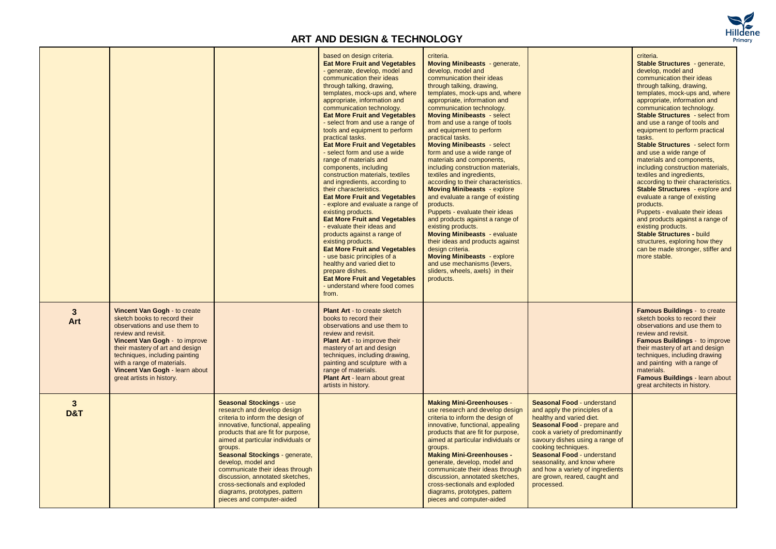

|                       |                                                                                                                                                                                                                                                                                                                        |                                                                                                                                                                                                                                                                                                                                                                                                                                                             | based on design criteria.<br><b>Eat More Fruit and Vegetables</b><br>- generate, develop, model and<br>communication their ideas<br>through talking, drawing,<br>templates, mock-ups and, where<br>appropriate, information and<br>communication technology.<br><b>Eat More Fruit and Vegetables</b><br>- select from and use a range of<br>tools and equipment to perform<br>practical tasks.<br><b>Eat More Fruit and Vegetables</b><br>- select form and use a wide<br>range of materials and<br>components, including<br>construction materials, textiles<br>and ingredients, according to<br>their characteristics.<br><b>Eat More Fruit and Vegetables</b><br>- explore and evaluate a range of<br>existing products.<br><b>Eat More Fruit and Vegetables</b><br>- evaluate their ideas and<br>products against a range of<br>existing products.<br><b>Eat More Fruit and Vegetables</b><br>- use basic principles of a<br>healthy and varied diet to<br>prepare dishes.<br><b>Eat More Fruit and Vegetables</b><br>- understand where food comes<br>from. | criteria.<br><b>Moving Minibeasts</b> - generate,<br>develop, model and<br>communication their ideas<br>through talking, drawing,<br>templates, mock-ups and, where<br>appropriate, information and<br>communication technology.<br><b>Moving Minibeasts - select</b><br>from and use a range of tools<br>and equipment to perform<br>practical tasks.<br><b>Moving Minibeasts - select</b><br>form and use a wide range of<br>materials and components,<br>including construction materials,<br>textiles and ingredients,<br>according to their characteristics.<br><b>Moving Minibeasts</b> - explore<br>and evaluate a range of existing<br>products.<br>Puppets - evaluate their ideas<br>and products against a range of<br>existing products.<br><b>Moving Minibeasts - evaluate</b><br>their ideas and products against<br>design criteria.<br><b>Moving Minibeasts</b> - explore<br>and use mechanisms (levers,<br>sliders, wheels, axels) in their<br>products. |                                                                                                                                                                                                                                                                                                                                                                     | criteria.<br>Stable Structures - generate,<br>develop, model and<br>communication their ideas<br>through talking, drawing,<br>templates, mock-ups and, where<br>appropriate, information and<br>communication technology.<br><b>Stable Structures</b> - select from<br>and use a range of tools and<br>equipment to perform practical<br>tasks.<br><b>Stable Structures</b> - select form<br>and use a wide range of<br>materials and components,<br>including construction materials,<br>textiles and ingredients,<br>according to their characteristics.<br><b>Stable Structures</b> - explore and<br>evaluate a range of existing<br>products.<br>Puppets - evaluate their ideas<br>and products against a range of<br>existing products.<br><b>Stable Structures - build</b><br>structures, exploring how they<br>can be made stronger, stiffer and<br>more stable. |
|-----------------------|------------------------------------------------------------------------------------------------------------------------------------------------------------------------------------------------------------------------------------------------------------------------------------------------------------------------|-------------------------------------------------------------------------------------------------------------------------------------------------------------------------------------------------------------------------------------------------------------------------------------------------------------------------------------------------------------------------------------------------------------------------------------------------------------|------------------------------------------------------------------------------------------------------------------------------------------------------------------------------------------------------------------------------------------------------------------------------------------------------------------------------------------------------------------------------------------------------------------------------------------------------------------------------------------------------------------------------------------------------------------------------------------------------------------------------------------------------------------------------------------------------------------------------------------------------------------------------------------------------------------------------------------------------------------------------------------------------------------------------------------------------------------------------------------------------------------------------------------------------------------|--------------------------------------------------------------------------------------------------------------------------------------------------------------------------------------------------------------------------------------------------------------------------------------------------------------------------------------------------------------------------------------------------------------------------------------------------------------------------------------------------------------------------------------------------------------------------------------------------------------------------------------------------------------------------------------------------------------------------------------------------------------------------------------------------------------------------------------------------------------------------------------------------------------------------------------------------------------------------|---------------------------------------------------------------------------------------------------------------------------------------------------------------------------------------------------------------------------------------------------------------------------------------------------------------------------------------------------------------------|-------------------------------------------------------------------------------------------------------------------------------------------------------------------------------------------------------------------------------------------------------------------------------------------------------------------------------------------------------------------------------------------------------------------------------------------------------------------------------------------------------------------------------------------------------------------------------------------------------------------------------------------------------------------------------------------------------------------------------------------------------------------------------------------------------------------------------------------------------------------------|
| $3\phantom{a}$<br>Art | Vincent Van Gogh - to create<br>sketch books to record their<br>observations and use them to<br>review and revisit.<br>Vincent Van Gogh - to improve<br>their mastery of art and design<br>techniques, including painting<br>with a range of materials.<br>Vincent Van Gogh - learn about<br>great artists in history. |                                                                                                                                                                                                                                                                                                                                                                                                                                                             | <b>Plant Art - to create sketch</b><br>books to record their<br>observations and use them to<br>review and revisit.<br><b>Plant Art - to improve their</b><br>mastery of art and design<br>techniques, including drawing,<br>painting and sculpture with a<br>range of materials.<br>Plant Art - learn about great<br>artists in history.                                                                                                                                                                                                                                                                                                                                                                                                                                                                                                                                                                                                                                                                                                                        |                                                                                                                                                                                                                                                                                                                                                                                                                                                                                                                                                                                                                                                                                                                                                                                                                                                                                                                                                                          |                                                                                                                                                                                                                                                                                                                                                                     | <b>Famous Buildings - to create</b><br>sketch books to record their<br>observations and use them to<br>review and revisit.<br><b>Famous Buildings - to improve</b><br>their mastery of art and design<br>techniques, including drawing<br>and painting with a range of<br>materials.<br>Famous Buildings - learn about<br>great architects in history.                                                                                                                                                                                                                                                                                                                                                                                                                                                                                                                  |
| $3\phantom{a}$<br>D&T |                                                                                                                                                                                                                                                                                                                        | <b>Seasonal Stockings - use</b><br>research and develop design<br>criteria to inform the design of<br>innovative, functional, appealing<br>products that are fit for purpose,<br>aimed at particular individuals or<br>groups.<br>Seasonal Stockings - generate,<br>develop, model and<br>communicate their ideas through<br>discussion, annotated sketches,<br>cross-sectionals and exploded<br>diagrams, prototypes, pattern<br>pieces and computer-aided |                                                                                                                                                                                                                                                                                                                                                                                                                                                                                                                                                                                                                                                                                                                                                                                                                                                                                                                                                                                                                                                                  | <b>Making Mini-Greenhouses -</b><br>use research and develop design<br>criteria to inform the design of<br>innovative, functional, appealing<br>products that are fit for purpose,<br>aimed at particular individuals or<br>groups.<br><b>Making Mini-Greenhouses -</b><br>generate, develop, model and<br>communicate their ideas through<br>discussion, annotated sketches,<br>cross-sectionals and exploded<br>diagrams, prototypes, pattern<br>pieces and computer-aided                                                                                                                                                                                                                                                                                                                                                                                                                                                                                             | Seasonal Food - understand<br>and apply the principles of a<br>healthy and varied diet.<br>Seasonal Food - prepare and<br>cook a variety of predominantly<br>savoury dishes using a range of<br>cooking techniques.<br>Seasonal Food - understand<br>seasonality, and know where<br>and how a variety of ingredients<br>are grown, reared, caught and<br>processed. |                                                                                                                                                                                                                                                                                                                                                                                                                                                                                                                                                                                                                                                                                                                                                                                                                                                                         |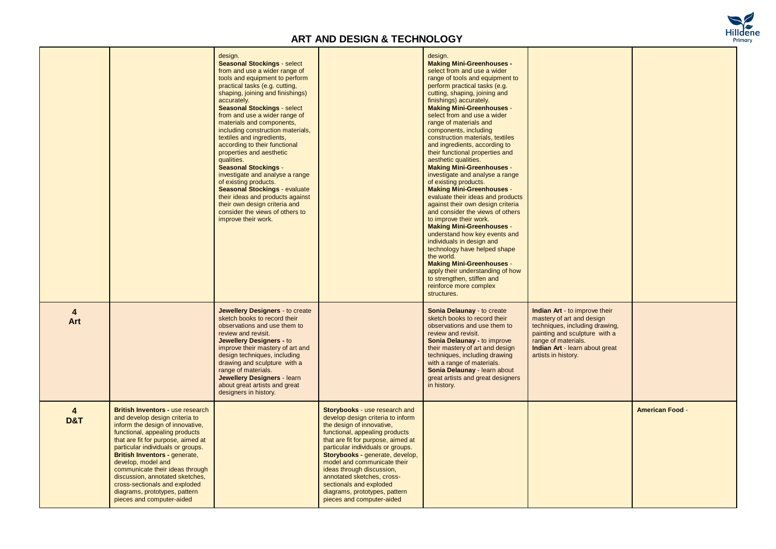

|                                  |                                                                                                                                                                                                                                                                                                                                                                                                                                                        | design.<br><b>Seasonal Stockings - select</b><br>from and use a wider range of<br>tools and equipment to perform<br>practical tasks (e.g. cutting,<br>shaping, joining and finishings)<br>accurately.<br><b>Seasonal Stockings - select</b><br>from and use a wider range of<br>materials and components,<br>including construction materials,<br>textiles and ingredients,<br>according to their functional<br>properties and aesthetic<br>qualities.<br><b>Seasonal Stockings -</b><br>investigate and analyse a range<br>of existing products.<br><b>Seasonal Stockings - evaluate</b><br>their ideas and products against<br>their own design criteria and<br>consider the views of others to<br>improve their work. |                                                                                                                                                                                                                                                                                                                                                                                                                                    | design.<br><b>Making Mini-Greenhouses -</b><br>select from and use a wider<br>range of tools and equipment to<br>perform practical tasks (e.g.<br>cutting, shaping, joining and<br>finishings) accurately.<br><b>Making Mini-Greenhouses -</b><br>select from and use a wider<br>range of materials and<br>components, including<br>construction materials, textiles<br>and ingredients, according to<br>their functional properties and<br>aesthetic qualities.<br><b>Making Mini-Greenhouses -</b><br>investigate and analyse a range<br>of existing products.<br><b>Making Mini-Greenhouses -</b><br>evaluate their ideas and products<br>against their own design criteria<br>and consider the views of others<br>to improve their work.<br><b>Making Mini-Greenhouses -</b><br>understand how key events and<br>individuals in design and<br>technology have helped shape<br>the world.<br><b>Making Mini-Greenhouses -</b><br>apply their understanding of how<br>to strengthen, stiffen and<br>reinforce more complex<br>structures. |                                                                                                                                                                                                                      |                        |
|----------------------------------|--------------------------------------------------------------------------------------------------------------------------------------------------------------------------------------------------------------------------------------------------------------------------------------------------------------------------------------------------------------------------------------------------------------------------------------------------------|--------------------------------------------------------------------------------------------------------------------------------------------------------------------------------------------------------------------------------------------------------------------------------------------------------------------------------------------------------------------------------------------------------------------------------------------------------------------------------------------------------------------------------------------------------------------------------------------------------------------------------------------------------------------------------------------------------------------------|------------------------------------------------------------------------------------------------------------------------------------------------------------------------------------------------------------------------------------------------------------------------------------------------------------------------------------------------------------------------------------------------------------------------------------|---------------------------------------------------------------------------------------------------------------------------------------------------------------------------------------------------------------------------------------------------------------------------------------------------------------------------------------------------------------------------------------------------------------------------------------------------------------------------------------------------------------------------------------------------------------------------------------------------------------------------------------------------------------------------------------------------------------------------------------------------------------------------------------------------------------------------------------------------------------------------------------------------------------------------------------------------------------------------------------------------------------------------------------------|----------------------------------------------------------------------------------------------------------------------------------------------------------------------------------------------------------------------|------------------------|
| $\overline{4}$<br>Art            |                                                                                                                                                                                                                                                                                                                                                                                                                                                        | Jewellery Designers - to create<br>sketch books to record their<br>observations and use them to<br>review and revisit.<br>Jewellery Designers - to<br>improve their mastery of art and<br>design techniques, including<br>drawing and sculpture with a<br>range of materials.<br>Jewellery Designers - learn<br>about great artists and great<br>designers in history.                                                                                                                                                                                                                                                                                                                                                   |                                                                                                                                                                                                                                                                                                                                                                                                                                    | Sonia Delaunay - to create<br>sketch books to record their<br>observations and use them to<br>review and revisit.<br>Sonia Delaunay - to improve<br>their mastery of art and design<br>techniques, including drawing<br>with a range of materials.<br>Sonia Delaunay - learn about<br>great artists and great designers<br>in history.                                                                                                                                                                                                                                                                                                                                                                                                                                                                                                                                                                                                                                                                                                      | <b>Indian Art - to improve their</b><br>mastery of art and design<br>techniques, including drawing,<br>painting and sculpture with a<br>range of materials.<br>Indian Art - learn about great<br>artists in history. |                        |
| $\overline{4}$<br><b>D&amp;T</b> | <b>British Inventors - use research</b><br>and develop design criteria to<br>inform the design of innovative.<br>functional, appealing products<br>that are fit for purpose, aimed at<br>particular individuals or groups.<br>British Inventors - generate,<br>develop, model and<br>communicate their ideas through<br>discussion, annotated sketches,<br>cross-sectionals and exploded<br>diagrams, prototypes, pattern<br>pieces and computer-aided |                                                                                                                                                                                                                                                                                                                                                                                                                                                                                                                                                                                                                                                                                                                          | Storybooks - use research and<br>develop design criteria to inform<br>the design of innovative,<br>functional, appealing products<br>that are fit for purpose, aimed at<br>particular individuals or groups.<br>Storybooks - generate, develop,<br>model and communicate their<br>ideas through discussion,<br>annotated sketches, cross-<br>sectionals and exploded<br>diagrams, prototypes, pattern<br>pieces and computer-aided |                                                                                                                                                                                                                                                                                                                                                                                                                                                                                                                                                                                                                                                                                                                                                                                                                                                                                                                                                                                                                                             |                                                                                                                                                                                                                      | <b>American Food -</b> |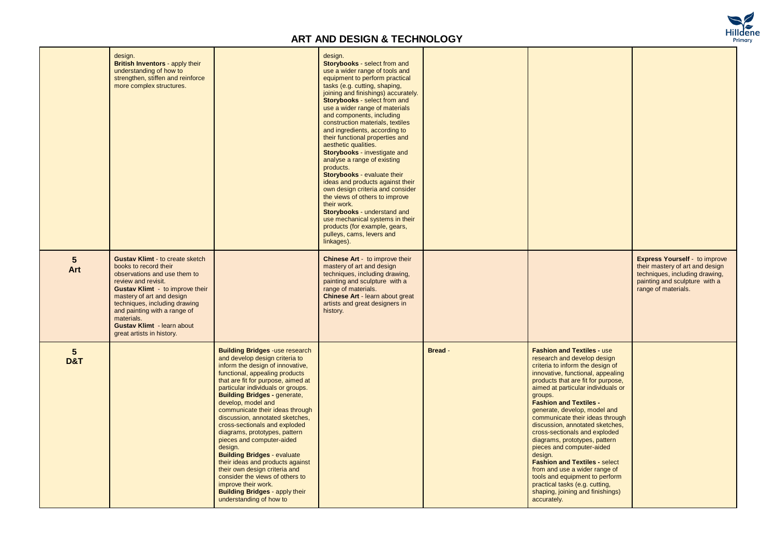

|                                   | design.<br><b>British Inventors - apply their</b><br>understanding of how to<br>strengthen, stiffen and reinforce<br>more complex structures.                                                                                                                                                                                                  |                                                                                                                                                                                                                                                                                                                                                                                                                                                                                                                                                                                                                                                                                                                | design.<br>Storybooks - select from and<br>use a wider range of tools and<br>equipment to perform practical<br>tasks (e.g. cutting, shaping,<br>joining and finishings) accurately.<br>Storybooks - select from and<br>use a wider range of materials<br>and components, including<br>construction materials, textiles<br>and ingredients, according to<br>their functional properties and<br>aesthetic qualities.<br>Storybooks - investigate and<br>analyse a range of existing<br>products.<br>Storybooks - evaluate their<br>ideas and products against their<br>own design criteria and consider<br>the views of others to improve<br>their work.<br>Storybooks - understand and<br>use mechanical systems in their<br>products (for example, gears,<br>pulleys, cams, levers and<br>linkages). |         |                                                                                                                                                                                                                                                                                                                                                                                                                                                                                                                                                                                                                                                                                   |                                                                                                                                                                   |
|-----------------------------------|------------------------------------------------------------------------------------------------------------------------------------------------------------------------------------------------------------------------------------------------------------------------------------------------------------------------------------------------|----------------------------------------------------------------------------------------------------------------------------------------------------------------------------------------------------------------------------------------------------------------------------------------------------------------------------------------------------------------------------------------------------------------------------------------------------------------------------------------------------------------------------------------------------------------------------------------------------------------------------------------------------------------------------------------------------------------|------------------------------------------------------------------------------------------------------------------------------------------------------------------------------------------------------------------------------------------------------------------------------------------------------------------------------------------------------------------------------------------------------------------------------------------------------------------------------------------------------------------------------------------------------------------------------------------------------------------------------------------------------------------------------------------------------------------------------------------------------------------------------------------------------|---------|-----------------------------------------------------------------------------------------------------------------------------------------------------------------------------------------------------------------------------------------------------------------------------------------------------------------------------------------------------------------------------------------------------------------------------------------------------------------------------------------------------------------------------------------------------------------------------------------------------------------------------------------------------------------------------------|-------------------------------------------------------------------------------------------------------------------------------------------------------------------|
| 5<br>Art                          | <b>Gustav Klimt - to create sketch</b><br>books to record their<br>observations and use them to<br>review and revisit.<br><b>Gustav Klimt</b> - to improve their<br>mastery of art and design<br>techniques, including drawing<br>and painting with a range of<br>materials.<br><b>Gustav Klimt</b> - learn about<br>great artists in history. |                                                                                                                                                                                                                                                                                                                                                                                                                                                                                                                                                                                                                                                                                                                | <b>Chinese Art - to improve their</b><br>mastery of art and design<br>techniques, including drawing,<br>painting and sculpture with a<br>range of materials.<br>Chinese Art - learn about great<br>artists and great designers in<br>history.                                                                                                                                                                                                                                                                                                                                                                                                                                                                                                                                                        |         |                                                                                                                                                                                                                                                                                                                                                                                                                                                                                                                                                                                                                                                                                   | <b>Express Yourself</b> - to improve<br>their mastery of art and design<br>techniques, including drawing,<br>painting and sculpture with a<br>range of materials. |
| $5\phantom{.0}$<br><b>D&amp;T</b> |                                                                                                                                                                                                                                                                                                                                                | <b>Building Bridges -use research</b><br>and develop design criteria to<br>inform the design of innovative,<br>functional, appealing products<br>that are fit for purpose, aimed at<br>particular individuals or groups.<br><b>Building Bridges - generate,</b><br>develop, model and<br>communicate their ideas through<br>discussion, annotated sketches,<br>cross-sectionals and exploded<br>diagrams, prototypes, pattern<br>pieces and computer-aided<br>design.<br><b>Building Bridges - evaluate</b><br>their ideas and products against<br>their own design criteria and<br>consider the views of others to<br>improve their work.<br><b>Building Bridges - apply their</b><br>understanding of how to |                                                                                                                                                                                                                                                                                                                                                                                                                                                                                                                                                                                                                                                                                                                                                                                                      | Bread - | <b>Fashion and Textiles - use</b><br>research and develop design<br>criteria to inform the design of<br>innovative, functional, appealing<br>products that are fit for purpose,<br>aimed at particular individuals or<br>groups.<br><b>Fashion and Textiles -</b><br>generate, develop, model and<br>communicate their ideas through<br>discussion, annotated sketches,<br>cross-sectionals and exploded<br>diagrams, prototypes, pattern<br>pieces and computer-aided<br>design.<br><b>Fashion and Textiles - select</b><br>from and use a wider range of<br>tools and equipment to perform<br>practical tasks (e.g. cutting,<br>shaping, joining and finishings)<br>accurately. |                                                                                                                                                                   |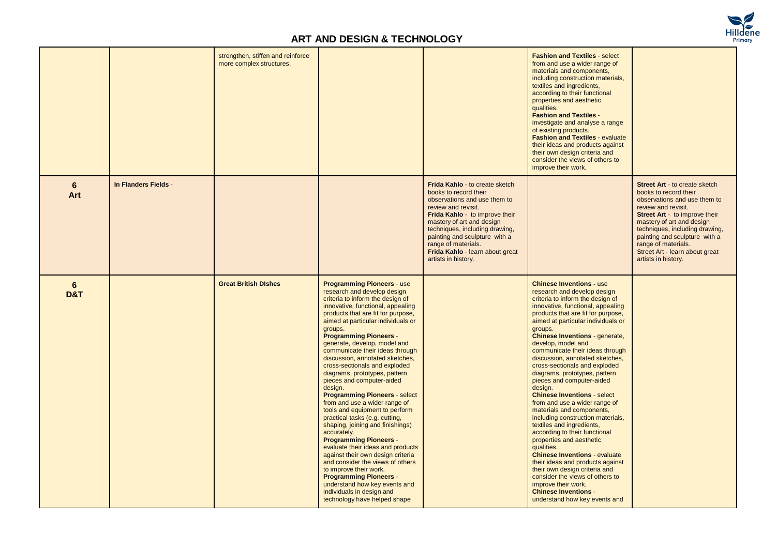

|          |                      | strengthen, stiffen and reinforce<br>more complex structures. |                                                                                                                                                                                                                                                                                                                                                                                                                                                                                                                                                                                                                                                                                                                                                                                                                                                                                                                                                                                           |                                                                                                                                                                                                                                                                                                                                          | <b>Fashion and Textiles - select</b><br>from and use a wider range of<br>materials and components,<br>including construction materials,<br>textiles and ingredients,<br>according to their functional<br>properties and aesthetic<br>qualities.<br><b>Fashion and Textiles -</b><br>investigate and analyse a range<br>of existing products.<br><b>Fashion and Textiles - evaluate</b><br>their ideas and products against<br>their own design criteria and<br>consider the views of others to<br>improve their work.                                                                                                                                                                                                                                                                                                                                                                                                                                                 |                                                                                                                                                                                                                                                                                                                                       |
|----------|----------------------|---------------------------------------------------------------|-------------------------------------------------------------------------------------------------------------------------------------------------------------------------------------------------------------------------------------------------------------------------------------------------------------------------------------------------------------------------------------------------------------------------------------------------------------------------------------------------------------------------------------------------------------------------------------------------------------------------------------------------------------------------------------------------------------------------------------------------------------------------------------------------------------------------------------------------------------------------------------------------------------------------------------------------------------------------------------------|------------------------------------------------------------------------------------------------------------------------------------------------------------------------------------------------------------------------------------------------------------------------------------------------------------------------------------------|-----------------------------------------------------------------------------------------------------------------------------------------------------------------------------------------------------------------------------------------------------------------------------------------------------------------------------------------------------------------------------------------------------------------------------------------------------------------------------------------------------------------------------------------------------------------------------------------------------------------------------------------------------------------------------------------------------------------------------------------------------------------------------------------------------------------------------------------------------------------------------------------------------------------------------------------------------------------------|---------------------------------------------------------------------------------------------------------------------------------------------------------------------------------------------------------------------------------------------------------------------------------------------------------------------------------------|
| 6<br>Art | In Flanders Fields - |                                                               |                                                                                                                                                                                                                                                                                                                                                                                                                                                                                                                                                                                                                                                                                                                                                                                                                                                                                                                                                                                           | Frida Kahlo - to create sketch<br>books to record their<br>observations and use them to<br>review and revisit.<br><b>Frida Kahlo</b> - to improve their<br>mastery of art and design<br>techniques, including drawing,<br>painting and sculpture with a<br>range of materials.<br>Frida Kahlo - learn about great<br>artists in history. |                                                                                                                                                                                                                                                                                                                                                                                                                                                                                                                                                                                                                                                                                                                                                                                                                                                                                                                                                                       | <b>Street Art - to create sketch</b><br>books to record their<br>observations and use them to<br>review and revisit.<br>Street Art - to improve their<br>mastery of art and design<br>techniques, including drawing,<br>painting and sculpture with a<br>range of materials.<br>Street Art - learn about great<br>artists in history. |
| 6<br>D&T |                      | <b>Great British Dishes</b>                                   | <b>Programming Pioneers - use</b><br>research and develop design<br>criteria to inform the design of<br>innovative, functional, appealing<br>products that are fit for purpose,<br>aimed at particular individuals or<br>groups.<br><b>Programming Pioneers -</b><br>generate, develop, model and<br>communicate their ideas through<br>discussion, annotated sketches,<br>cross-sectionals and exploded<br>diagrams, prototypes, pattern<br>pieces and computer-aided<br>design.<br><b>Programming Pioneers - select</b><br>from and use a wider range of<br>tools and equipment to perform<br>practical tasks (e.g. cutting,<br>shaping, joining and finishings)<br>accurately.<br><b>Programming Pioneers -</b><br>evaluate their ideas and products<br>against their own design criteria<br>and consider the views of others<br>to improve their work.<br><b>Programming Pioneers -</b><br>understand how key events and<br>individuals in design and<br>technology have helped shape |                                                                                                                                                                                                                                                                                                                                          | <b>Chinese Inventions - use</b><br>research and develop design<br>criteria to inform the design of<br>innovative, functional, appealing<br>products that are fit for purpose,<br>aimed at particular individuals or<br>groups.<br><b>Chinese Inventions - generate,</b><br>develop, model and<br>communicate their ideas through<br>discussion, annotated sketches,<br>cross-sectionals and exploded<br>diagrams, prototypes, pattern<br>pieces and computer-aided<br>design.<br><b>Chinese Inventions - select</b><br>from and use a wider range of<br>materials and components,<br>including construction materials,<br>textiles and ingredients,<br>according to their functional<br>properties and aesthetic<br>qualities.<br><b>Chinese Inventions - evaluate</b><br>their ideas and products against<br>their own design criteria and<br>consider the views of others to<br>improve their work.<br><b>Chinese Inventions -</b><br>understand how key events and |                                                                                                                                                                                                                                                                                                                                       |